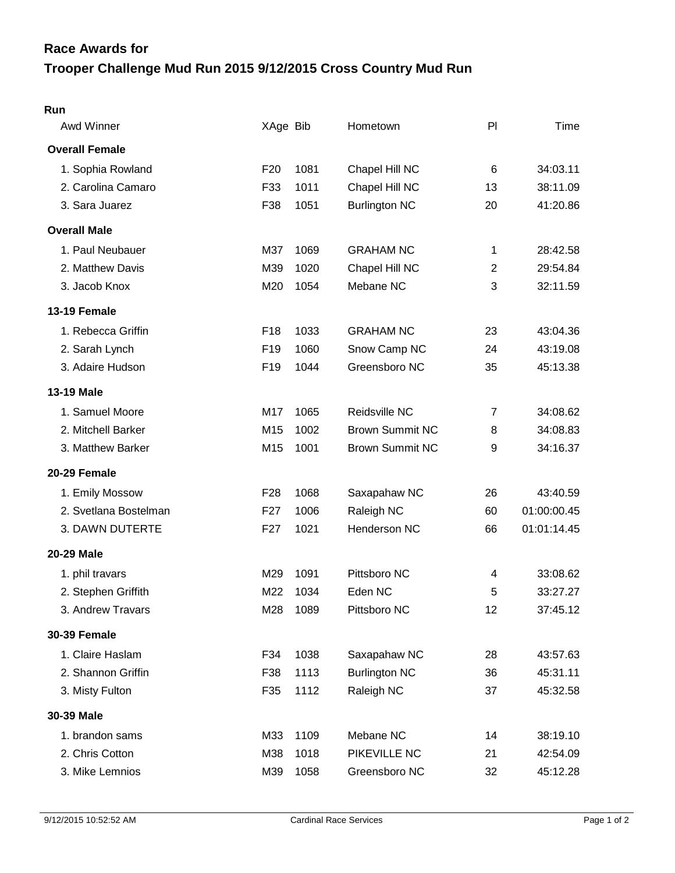## **Trooper Challenge Mud Run 2015 9/12/2015 Cross Country Mud Run Race Awards for**

| Awd Winner            | XAge Bib        |      | Hometown               | PI             | Time        |
|-----------------------|-----------------|------|------------------------|----------------|-------------|
| <b>Overall Female</b> |                 |      |                        |                |             |
| 1. Sophia Rowland     | F <sub>20</sub> | 1081 | Chapel Hill NC         | $\,6$          | 34:03.11    |
| 2. Carolina Camaro    | F33             | 1011 | Chapel Hill NC         | 13             | 38:11.09    |
| 3. Sara Juarez        | F38             | 1051 | <b>Burlington NC</b>   | 20             | 41:20.86    |
| <b>Overall Male</b>   |                 |      |                        |                |             |
| 1. Paul Neubauer      | M37             | 1069 | <b>GRAHAM NC</b>       | 1              | 28:42.58    |
| 2. Matthew Davis      | M39             | 1020 | Chapel Hill NC         | $\overline{2}$ | 29:54.84    |
| 3. Jacob Knox         | M20             | 1054 | Mebane NC              | 3              | 32:11.59    |
| 13-19 Female          |                 |      |                        |                |             |
| 1. Rebecca Griffin    | F18             | 1033 | <b>GRAHAM NC</b>       | 23             | 43:04.36    |
| 2. Sarah Lynch        | F <sub>19</sub> | 1060 | Snow Camp NC           | 24             | 43:19.08    |
| 3. Adaire Hudson      | F <sub>19</sub> | 1044 | Greensboro NC          | 35             | 45:13.38    |
| <b>13-19 Male</b>     |                 |      |                        |                |             |
| 1. Samuel Moore       | M17             | 1065 | Reidsville NC          | $\overline{7}$ | 34:08.62    |
| 2. Mitchell Barker    | M15             | 1002 | <b>Brown Summit NC</b> | 8              | 34:08.83    |
| 3. Matthew Barker     | M15             | 1001 | <b>Brown Summit NC</b> | 9              | 34:16.37    |
| 20-29 Female          |                 |      |                        |                |             |
| 1. Emily Mossow       | F <sub>28</sub> | 1068 | Saxapahaw NC           | 26             | 43:40.59    |
| 2. Svetlana Bostelman | F <sub>27</sub> | 1006 | Raleigh NC             | 60             | 01:00:00.45 |
| 3. DAWN DUTERTE       | F <sub>27</sub> | 1021 | Henderson NC           | 66             | 01:01:14.45 |
| 20-29 Male            |                 |      |                        |                |             |
| 1. phil travars       | M29             | 1091 | Pittsboro NC           | 4              | 33:08.62    |
| 2. Stephen Griffith   | M22             | 1034 | Eden NC                | 5              | 33:27.27    |
| 3. Andrew Travars     | M28             | 1089 | Pittsboro NC           | 12             | 37:45.12    |
| <b>30-39 Female</b>   |                 |      |                        |                |             |
| 1. Claire Haslam      | F34             | 1038 | Saxapahaw NC           | 28             | 43:57.63    |
| 2. Shannon Griffin    | F38             | 1113 | <b>Burlington NC</b>   | 36             | 45:31.11    |
| 3. Misty Fulton       | F35             | 1112 | Raleigh NC             | 37             | 45:32.58    |
| 30-39 Male            |                 |      |                        |                |             |
| 1. brandon sams       | M33             | 1109 | Mebane NC              | 14             | 38:19.10    |
| 2. Chris Cotton       | M38             | 1018 | PIKEVILLE NC           | 21             | 42:54.09    |
| 3. Mike Lemnios       | M39             | 1058 | Greensboro NC          | 32             | 45:12.28    |